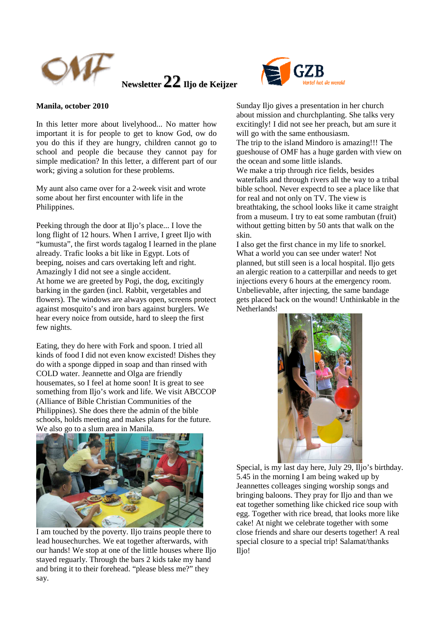



## **Manila, october 2010**

In this letter more about livelyhood... No matter how important it is for people to get to know God, ow do you do this if they are hungry, children cannot go to school and people die because they cannot pay for simple medication? In this letter, a different part of our work; giving a solution for these problems.

My aunt also came over for a 2-week visit and wrote some about her first encounter with life in the Philippines.

Peeking through the door at Iljo's place... I love the long flight of 12 hours. When I arrive, I greet Iljo with "kumusta", the first words tagalog I learned in the plane already. Trafic looks a bit like in Egypt. Lots of beeping, noises and cars overtaking left and right. Amazingly I did not see a single accident. At home we are greeted by Pogi, the dog, excitingly barking in the garden (incl. Rabbit, vergetables and flowers). The windows are always open, screens protect against mosquito's and iron bars against burglers. We hear every noice from outside, hard to sleep the first few nights.

Eating, they do here with Fork and spoon. I tried all kinds of food I did not even know excisted! Dishes they do with a sponge dipped in soap and than rinsed with COLD water. Jeannette and Olga are friendly housemates, so I feel at home soon! It is great to see something from Iljo's work and life. We visit ABCCOP (Alliance of Bible Christian Communities of the Philippines). She does there the admin of the bible schools, holds meeting and makes plans for the future. We also go to a slum area in Manila.



I am touched by the poverty. Iljo trains people there to lead housechurches. We eat together afterwards, with our hands! We stop at one of the little houses where Iljo stayed reguarly. Through the bars 2 kids take my hand and bring it to their forehead. "please bless me?" they say.

Sunday Iljo gives a presentation in her church about mission and churchplanting. She talks very excitingly! I did not see her preach, but am sure it will go with the same enthousiasm. The trip to the island Mindoro is amazing!!! The gueshouse of OMF has a huge garden with view on

the ocean and some little islands. We make a trip through rice fields, besides waterfalls and through rivers all the way to a tribal

bible school. Never expectd to see a place like that for real and not only on TV. The view is breathtaking, the school looks like it came straight from a museum. I try to eat some rambutan (fruit) without getting bitten by 50 ants that walk on the skin.

I also get the first chance in my life to snorkel. What a world you can see under water! Not planned, but still seen is a local hospital. Iljo gets an alergic reation to a catterpillar and needs to get injections every 6 hours at the emergency room. Unbelievable, after injecting, the same bandage gets placed back on the wound! Unthinkable in the Netherlands!



Special, is my last day here, July 29, Iljo's birthday. 5.45 in the morning I am being waked up by Jeannettes colleages singing worship songs and bringing baloons. They pray for Iljo and than we eat together something like chicked rice soup with egg. Together with rice bread, that looks more like cake! At night we celebrate together with some close friends and share our deserts together! A real special closure to a special trip! Salamat/thanks Iljo!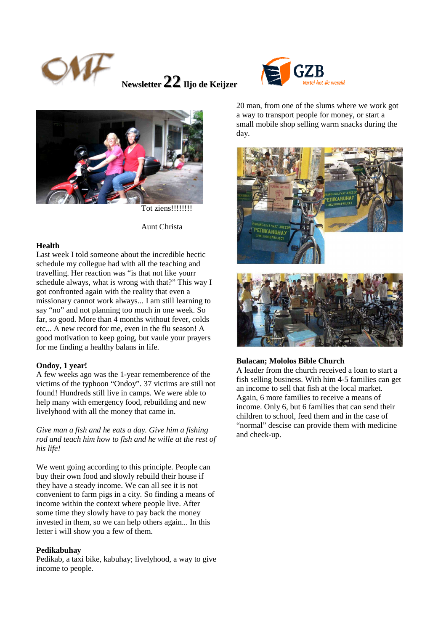



# Aunt Christa

#### **Health**

Last week I told someone about the incredible hectic schedule my collegue had with all the teaching and travelling. Her reaction was "is that not like yourr schedule always, what is wrong with that?" This way I got confronted again with the reality that even a missionary cannot work always... I am still learning to say "no" and not planning too much in one week. So far, so good. More than 4 months without fever, colds etc... A new record for me, even in the flu season! A good motivation to keep going, but vaule your prayers for me finding a healthy balans in life.

#### **Ondoy, 1 year!**

A few weeks ago was the 1-year rememberence of the victims of the typhoon "Ondoy". 37 victims are still not found! Hundreds still live in camps. We were able to help many with emergency food, rebuilding and new livelyhood with all the money that came in.

*Give man a fish and he eats a day. Give him a fishing rod and teach him how to fish and he wille at the rest of his life!* 

We went going according to this principle. People can buy their own food and slowly rebuild their house if they have a steady income. We can all see it is not convenient to farm pigs in a city. So finding a means of income within the context where people live. After some time they slowly have to pay back the money invested in them, so we can help others again... In this letter i will show you a few of them.

#### **Pedikabuhay**

Pedikab, a taxi bike, kabuhay; livelyhood, a way to give income to people.



20 man, from one of the slums where we work got a way to transport people for money, or start a small mobile shop selling warm snacks during the day.



#### **Bulacan; Mololos Bible Church**

A leader from the church received a loan to start a fish selling business. With him 4-5 families can get an income to sell that fish at the local market. Again, 6 more families to receive a means of income. Only 6, but 6 families that can send their children to school, feed them and in the case of "normal" descise can provide them with medicine and check-up.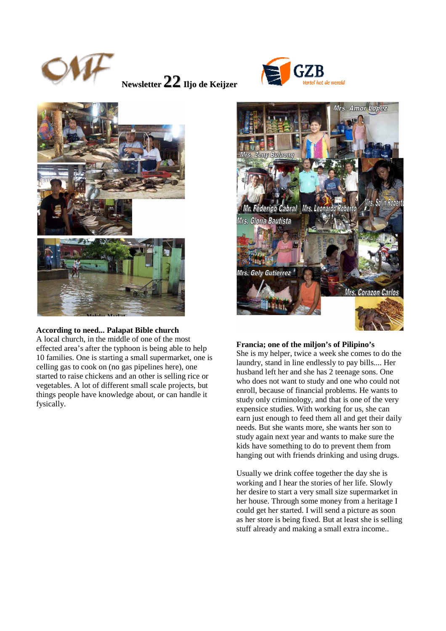





## **According to need... Palapat Bible church**

A local church, in the middle of one of the most effected area's after the typhoon is being able to help 10 families. One is starting a small supermarket, one is celling gas to cook on (no gas pipelines here), one started to raise chickens and an other is selling rice or vegetables. A lot of different small scale projects, but things people have knowledge about, or can handle it fysically.



## **Francia; one of the miljon's of Pilipino's**

She is my helper, twice a week she comes to do the laundry, stand in line endlessly to pay bills.... Her husband left her and she has 2 teenage sons. One who does not want to study and one who could not enroll, because of financial problems. He wants to study only criminology, and that is one of the very expensice studies. With working for us, she can earn just enough to feed them all and get their daily needs. But she wants more, she wants her son to study again next year and wants to make sure the kids have something to do to prevent them from hanging out with friends drinking and using drugs.

Usually we drink coffee together the day she is working and I hear the stories of her life. Slowly her desire to start a very small size supermarket in her house. Through some money from a heritage I could get her started. I will send a picture as soon as her store is being fixed. But at least she is selling stuff already and making a small extra income..